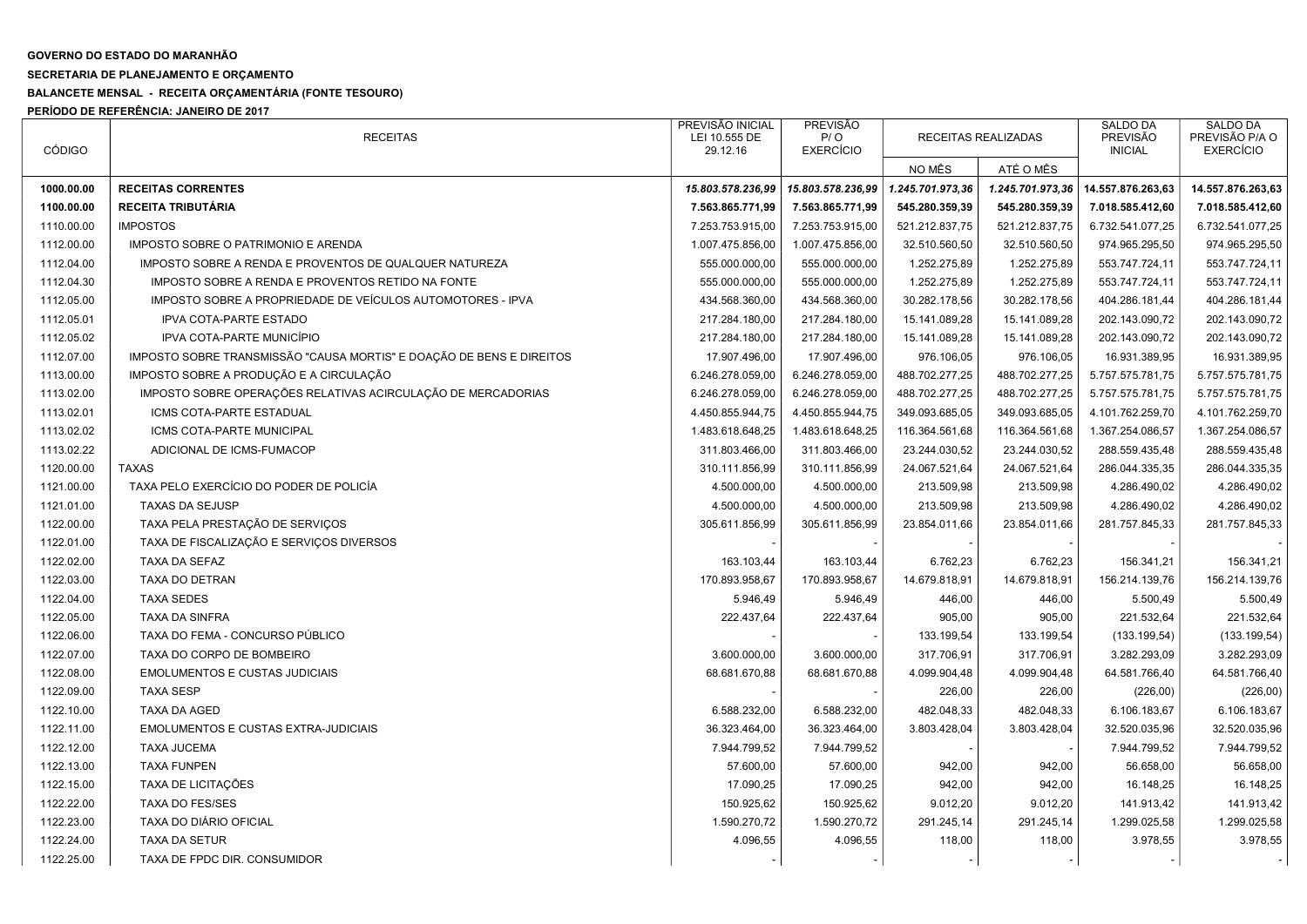## GOVERNO DO ESTADO DO MARANHÃO

## SECRETARIA DE PLANEJAMENTO E ORÇAMENTO

## BALANCETE MENSAL - RECEITA ORÇAMENTÁRIA (FONTE TESOURO)

PERÍODO DE REFERÊNCIA: JANEIRO DE 2017

| <b>CÓDIGO</b> | <b>RECEITAS</b>                                                      | PREVISÃO INICIAL<br>LEI 10.555 DE | <b>PREVISÃO</b><br>P/O | RECEITAS REALIZADAS |                  | <b>SALDO DA</b><br>PREVISÃO | <b>SALDO DA</b><br>PREVISÃO P/A O |
|---------------|----------------------------------------------------------------------|-----------------------------------|------------------------|---------------------|------------------|-----------------------------|-----------------------------------|
|               |                                                                      | 29.12.16                          | <b>EXERCÍCIO</b>       | NO MÊS              | ATÉ O MÊS        | <b>INICIAL</b>              | <b>EXERCÍCIO</b>                  |
| 1000.00.00    | <b>RECEITAS CORRENTES</b>                                            | 15.803.578.236,99                 | 15.803.578.236,99      | 1.245.701.973,36    | 1.245.701.973,36 | 14.557.876.263,63           | 14.557.876.263,63                 |
| 1100.00.00    | <b>RECEITA TRIBUTÁRIA</b>                                            | 7.563.865.771,99                  | 7.563.865.771,99       | 545.280.359,39      | 545.280.359,39   | 7.018.585.412,60            | 7.018.585.412,60                  |
| 1110.00.00    | <b>IMPOSTOS</b>                                                      | 7.253.753.915,00                  | 7.253.753.915,00       | 521.212.837,75      | 521.212.837,75   | 6.732.541.077,25            | 6.732.541.077,25                  |
| 1112.00.00    | IMPOSTO SOBRE O PATRIMONIO E ARENDA                                  | 1.007.475.856,00                  | 1.007.475.856,00       | 32.510.560,50       | 32.510.560,50    | 974.965.295,50              | 974.965.295,50                    |
| 1112.04.00    | IMPOSTO SOBRE A RENDA E PROVENTOS DE QUALQUER NATUREZA               | 555.000.000,00                    | 555.000.000,00         | 1.252.275,89        | 1.252.275,89     | 553.747.724,11              | 553.747.724,11                    |
| 1112.04.30    | IMPOSTO SOBRE A RENDA E PROVENTOS RETIDO NA FONTE                    | 555.000.000,00                    | 555.000.000,00         | 1.252.275,89        | 1.252.275,89     | 553.747.724,11              | 553.747.724,11                    |
| 1112.05.00    | IMPOSTO SOBRE A PROPRIEDADE DE VEÍCULOS AUTOMOTORES - IPVA           | 434.568.360,00                    | 434.568.360,00         | 30.282.178,56       | 30.282.178,56    | 404.286.181,44              | 404.286.181,44                    |
| 1112.05.01    | <b>IPVA COTA-PARTE ESTADO</b>                                        | 217.284.180,00                    | 217.284.180,00         | 15.141.089,28       | 15.141.089,28    | 202.143.090,72              | 202.143.090,72                    |
| 1112.05.02    | <b>IPVA COTA-PARTE MUNICÍPIO</b>                                     | 217.284.180,00                    | 217.284.180,00         | 15.141.089,28       | 15.141.089,28    | 202.143.090,72              | 202.143.090,72                    |
| 1112.07.00    | IMPOSTO SOBRE TRANSMISSÃO "CAUSA MORTIS" E DOAÇÃO DE BENS E DIREITOS | 17.907.496,00                     | 17.907.496,00          | 976.106,05          | 976.106,05       | 16.931.389,95               | 16.931.389,95                     |
| 1113.00.00    | IMPOSTO SOBRE A PRODUÇÃO E A CIRCULAÇÃO                              | 6.246.278.059,00                  | 6.246.278.059,00       | 488.702.277,25      | 488.702.277,25   | 5.757.575.781,75            | 5.757.575.781,75                  |
| 1113.02.00    | IMPOSTO SOBRE OPERAÇÕES RELATIVAS ACIRCULAÇÃO DE MERCADORIAS         | 6.246.278.059,00                  | 6.246.278.059,00       | 488.702.277,25      | 488.702.277,25   | 5.757.575.781,75            | 5.757.575.781,75                  |
| 1113.02.01    | ICMS COTA-PARTE ESTADUAL                                             | 4.450.855.944,75                  | 4.450.855.944,75       | 349.093.685,05      | 349.093.685,05   | 4.101.762.259,70            | 4.101.762.259,70                  |
| 1113.02.02    | ICMS COTA-PARTE MUNICIPAL                                            | 1.483.618.648,25                  | 1.483.618.648,25       | 116.364.561,68      | 116.364.561,68   | 1.367.254.086,57            | 1.367.254.086,57                  |
| 1113.02.22    | ADICIONAL DE ICMS-FUMACOP                                            | 311.803.466,00                    | 311.803.466,00         | 23.244.030,52       | 23.244.030,52    | 288.559.435,48              | 288.559.435,48                    |
| 1120.00.00    | <b>TAXAS</b>                                                         | 310.111.856,99                    | 310.111.856,99         | 24.067.521,64       | 24.067.521,64    | 286.044.335,35              | 286.044.335,35                    |
| 1121.00.00    | TAXA PELO EXERCÍCIO DO PODER DE POLICÍA                              | 4.500.000,00                      | 4.500.000,00           | 213.509,98          | 213.509,98       | 4.286.490,02                | 4.286.490,02                      |
| 1121.01.00    | <b>TAXAS DA SEJUSP</b>                                               | 4.500.000,00                      | 4.500.000,00           | 213.509,98          | 213.509,98       | 4.286.490,02                | 4.286.490,02                      |
| 1122.00.00    | TAXA PELA PRESTAÇÃO DE SERVIÇOS                                      | 305.611.856,99                    | 305.611.856,99         | 23.854.011,66       | 23.854.011,66    | 281.757.845,33              | 281.757.845,33                    |
| 1122.01.00    | TAXA DE FISCALIZAÇÃO E SERVIÇOS DIVERSOS                             |                                   |                        |                     |                  |                             |                                   |
| 1122.02.00    | TAXA DA SEFAZ                                                        | 163.103,44                        | 163.103,44             | 6.762,23            | 6.762,23         | 156.341,21                  | 156.341,21                        |
| 1122.03.00    | <b>TAXA DO DETRAN</b>                                                | 170.893.958,67                    | 170.893.958,67         | 14.679.818,91       | 14.679.818,91    | 156.214.139,76              | 156.214.139,76                    |
| 1122.04.00    | <b>TAXA SEDES</b>                                                    | 5.946,49                          | 5.946,49               | 446,00              | 446,00           | 5.500,49                    | 5.500,49                          |
| 1122.05.00    | TAXA DA SINFRA                                                       | 222.437,64                        | 222.437,64             | 905,00              | 905,00           | 221.532,64                  | 221.532,64                        |
| 1122.06.00    | TAXA DO FEMA - CONCURSO PÚBLICO                                      |                                   |                        | 133.199,54          | 133.199,54       | (133.199, 54)               | (133.199, 54)                     |
| 1122.07.00    | TAXA DO CORPO DE BOMBEIRO                                            | 3.600.000,00                      | 3.600.000,00           | 317.706,91          | 317.706,91       | 3.282.293,09                | 3.282.293,09                      |
| 1122.08.00    | <b>EMOLUMENTOS E CUSTAS JUDICIAIS</b>                                | 68.681.670,88                     | 68.681.670,88          | 4.099.904,48        | 4.099.904,48     | 64.581.766,40               | 64.581.766,40                     |
| 1122.09.00    | <b>TAXA SESP</b>                                                     |                                   |                        | 226,00              | 226,00           | (226,00)                    | (226, 00)                         |
| 1122.10.00    | <b>TAXA DA AGED</b>                                                  | 6.588.232,00                      | 6.588.232,00           | 482.048,33          | 482.048,33       | 6.106.183,67                | 6.106.183,67                      |
| 1122.11.00    | <b>EMOLUMENTOS E CUSTAS EXTRA-JUDICIAIS</b>                          | 36.323.464,00                     | 36.323.464,00          | 3.803.428,04        | 3.803.428,04     | 32.520.035,96               | 32.520.035,96                     |
| 1122.12.00    | <b>TAXA JUCEMA</b>                                                   | 7.944.799,52                      | 7.944.799,52           |                     |                  | 7.944.799,52                | 7.944.799,52                      |
| 1122.13.00    | <b>TAXA FUNPEN</b>                                                   | 57.600,00                         | 57.600,00              | 942,00              | 942,00           | 56.658,00                   | 56.658,00                         |
| 1122.15.00    | <b>TAXA DE LICITAÇÕES</b>                                            | 17.090,25                         | 17.090,25              | 942,00              | 942,00           | 16.148,25                   | 16.148,25                         |
| 1122.22.00    | <b>TAXA DO FES/SES</b>                                               | 150.925,62                        | 150.925,62             | 9.012,20            | 9.012,20         | 141.913,42                  | 141.913,42                        |
| 1122.23.00    | TAXA DO DIÁRIO OFICIAL                                               | 1.590.270,72                      | 1.590.270,72           | 291.245,14          | 291.245,14       | 1.299.025,58                | 1.299.025,58                      |
| 1122.24.00    | TAXA DA SETUR                                                        | 4.096,55                          | 4.096,55               | 118,00              | 118,00           | 3.978,55                    | 3.978,55                          |
| 1122.25.00    | TAXA DE FPDC DIR. CONSUMIDOR                                         |                                   |                        |                     |                  |                             |                                   |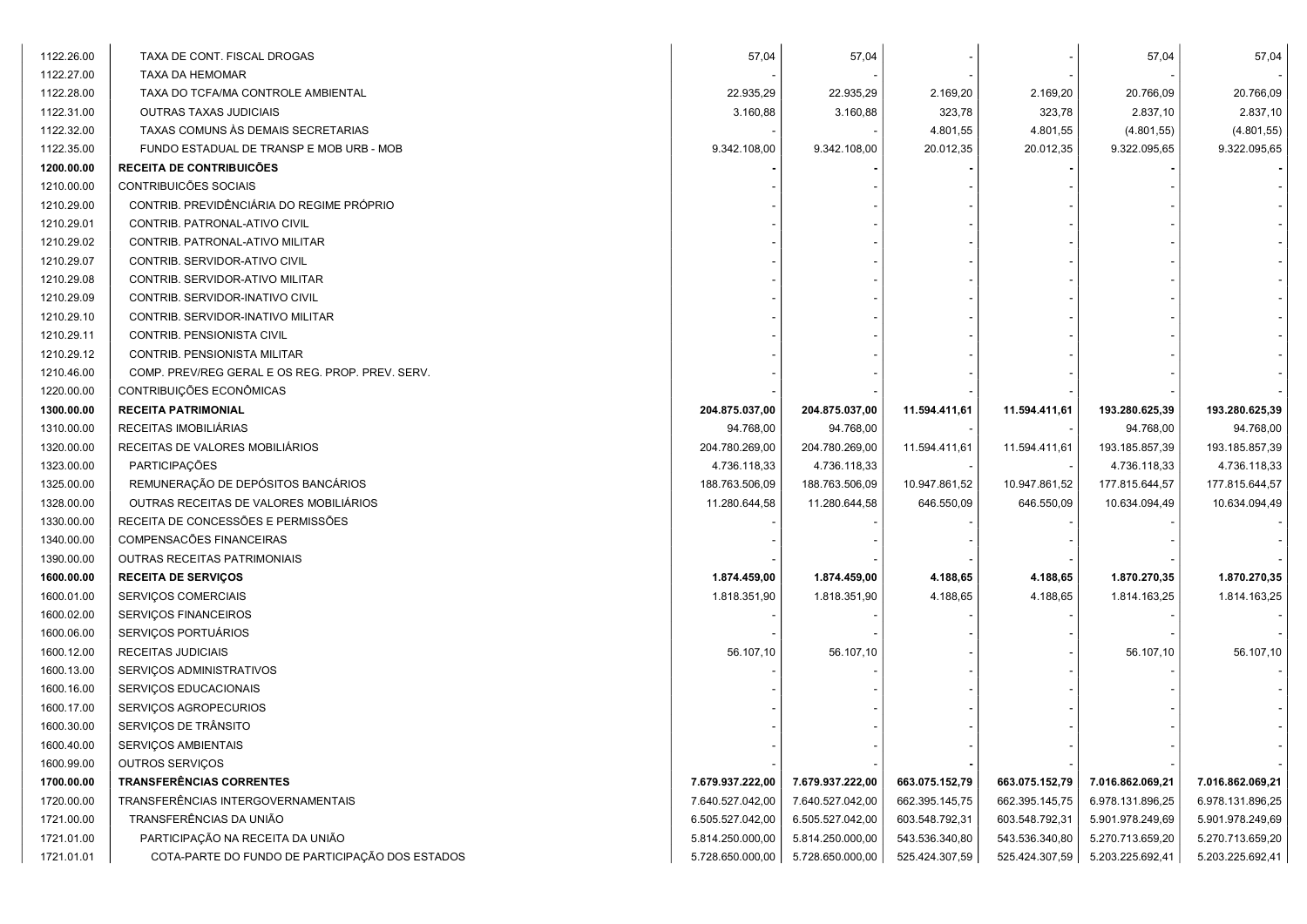| 1122.26.00 | TAXA DE CONT. FISCAL DROGAS                      | 57,04            | 57,04            |                |                | 57,04            | 57,04            |
|------------|--------------------------------------------------|------------------|------------------|----------------|----------------|------------------|------------------|
| 1122.27.00 | TAXA DA HEMOMAR                                  |                  |                  |                |                |                  |                  |
| 1122.28.00 | TAXA DO TCFA/MA CONTROLE AMBIENTAL               | 22.935,29        | 22.935,29        | 2.169,20       | 2.169,20       | 20.766,09        | 20.766,09        |
| 1122.31.00 | OUTRAS TAXAS JUDICIAIS                           | 3.160,88         | 3.160,88         | 323,78         | 323,78         | 2.837,10         | 2.837,10         |
| 1122.32.00 | TAXAS COMUNS ÀS DEMAIS SECRETARIAS               |                  |                  | 4.801,55       | 4.801,55       | (4.801, 55)      | (4.801, 55)      |
| 1122.35.00 | FUNDO ESTADUAL DE TRANSP E MOB URB - MOB         | 9.342.108,00     | 9.342.108,00     | 20.012,35      | 20.012,35      | 9.322.095,65     | 9.322.095,65     |
| 1200.00.00 | <b>RECEITA DE CONTRIBUICÕES</b>                  |                  |                  |                |                |                  |                  |
| 1210.00.00 | CONTRIBUICÕES SOCIAIS                            |                  |                  |                |                |                  |                  |
| 1210.29.00 | CONTRIB. PREVIDÊNCIÁRIA DO REGIME PRÓPRIO        |                  |                  |                |                |                  |                  |
| 1210.29.01 | CONTRIB. PATRONAL-ATIVO CIVIL                    |                  |                  |                |                |                  |                  |
| 1210.29.02 | CONTRIB. PATRONAL-ATIVO MILITAR                  |                  |                  |                |                |                  |                  |
| 1210.29.07 | CONTRIB. SERVIDOR-ATIVO CIVIL                    |                  |                  |                |                |                  |                  |
| 1210.29.08 | CONTRIB. SERVIDOR-ATIVO MILITAR                  |                  |                  |                |                |                  |                  |
| 1210.29.09 | CONTRIB. SERVIDOR-INATIVO CIVIL                  |                  |                  |                |                |                  |                  |
| 1210.29.10 | CONTRIB. SERVIDOR-INATIVO MILITAR                |                  |                  |                |                |                  |                  |
| 1210.29.11 | CONTRIB. PENSIONISTA CIVIL                       |                  |                  |                |                |                  |                  |
| 1210.29.12 | CONTRIB. PENSIONISTA MILITAR                     |                  |                  |                |                |                  |                  |
| 1210.46.00 | COMP. PREV/REG GERAL E OS REG. PROP. PREV. SERV. |                  |                  |                |                |                  |                  |
| 1220.00.00 | CONTRIBUIÇÕES ECONÔMICAS                         |                  |                  |                |                |                  |                  |
| 1300.00.00 | <b>RECEITA PATRIMONIAL</b>                       | 204.875.037,00   | 204.875.037,00   | 11.594.411,61  | 11.594.411,61  | 193.280.625,39   | 193.280.625,39   |
| 1310.00.00 | RECEITAS IMOBILIÁRIAS                            | 94.768,00        | 94.768,00        |                |                | 94.768,00        | 94.768,00        |
| 1320.00.00 | RECEITAS DE VALORES MOBILIÁRIOS                  | 204.780.269,00   | 204.780.269,00   | 11.594.411,61  | 11.594.411,61  | 193.185.857,39   | 193.185.857,39   |
| 1323.00.00 | PARTICIPAÇÕES                                    | 4.736.118,33     | 4.736.118,33     |                |                | 4.736.118,33     | 4.736.118,33     |
| 1325.00.00 | REMUNERAÇÃO DE DEPÓSITOS BANCÁRIOS               | 188.763.506,09   | 188.763.506,09   | 10.947.861,52  | 10.947.861,52  | 177.815.644,57   | 177.815.644,57   |
| 1328.00.00 | OUTRAS RECEITAS DE VALORES MOBILIÁRIOS           | 11.280.644,58    | 11.280.644,58    | 646.550,09     | 646.550,09     | 10.634.094,49    | 10.634.094,49    |
| 1330.00.00 | RECEITA DE CONCESSÕES E PERMISSÕES               |                  |                  |                |                |                  |                  |
| 1340.00.00 | COMPENSACÕES FINANCEIRAS                         |                  |                  |                |                |                  |                  |
| 1390.00.00 | OUTRAS RECEITAS PATRIMONIAIS                     |                  |                  |                |                |                  |                  |
| 1600.00.00 | <b>RECEITA DE SERVIÇOS</b>                       | 1.874.459,00     | 1.874.459,00     | 4.188,65       | 4.188,65       | 1.870.270,35     | 1.870.270,35     |
| 1600.01.00 | SERVIÇOS COMERCIAIS                              | 1.818.351,90     | 1.818.351,90     | 4.188,65       | 4.188,65       | 1.814.163,25     | 1.814.163,25     |
| 1600.02.00 | SERVIÇOS FINANCEIROS                             |                  |                  |                |                |                  |                  |
| 1600.06.00 | SERVIÇOS PORTUÁRIOS                              |                  |                  |                |                |                  |                  |
| 1600.12.00 | RECEITAS JUDICIAIS                               | 56.107,10        | 56.107,10        |                |                | 56.107,10        | 56.107,10        |
| 1600.13.00 | SERVIÇOS ADMINISTRATIVOS                         |                  |                  |                |                |                  |                  |
| 1600.16.00 | SERVIÇOS EDUCACIONAIS                            |                  |                  |                |                |                  |                  |
| 1600.17.00 | SERVIÇOS AGROPECURIOS                            |                  |                  |                |                |                  |                  |
| 1600.30.00 | SERVIÇOS DE TRÂNSITO                             |                  |                  |                |                |                  |                  |
| 1600.40.00 | SERVIÇOS AMBIENTAIS                              |                  |                  |                |                |                  |                  |
| 1600.99.00 | OUTROS SERVICOS                                  |                  |                  |                |                |                  |                  |
| 1700.00.00 | <b>TRANSFERÊNCIAS CORRENTES</b>                  | 7.679.937.222,00 | 7.679.937.222,00 | 663.075.152,79 | 663.075.152,79 | 7.016.862.069,21 | 7.016.862.069,21 |
| 1720.00.00 | TRANSFERÊNCIAS INTERGOVERNAMENTAIS               | 7.640.527.042,00 | 7.640.527.042,00 | 662.395.145,75 | 662.395.145,75 | 6.978.131.896,25 | 6.978.131.896,25 |
| 1721.00.00 | TRANSFERÊNCIAS DA UNIÃO                          | 6.505.527.042,00 | 6.505.527.042,00 | 603.548.792,31 | 603.548.792,31 | 5.901.978.249,69 | 5.901.978.249,69 |
| 1721.01.00 | PARTICIPAÇÃO NA RECEITA DA UNIÃO                 | 5.814.250.000,00 | 5.814.250.000,00 | 543.536.340,80 | 543.536.340,80 | 5.270.713.659,20 | 5.270.713.659,20 |
| 1721.01.01 | COTA-PARTE DO FUNDO DE PARTICIPAÇÃO DOS ESTADOS  | 5.728.650.000,00 | 5.728.650.000,00 | 525.424.307,59 | 525.424.307,59 | 5.203.225.692,41 | 5.203.225.692,41 |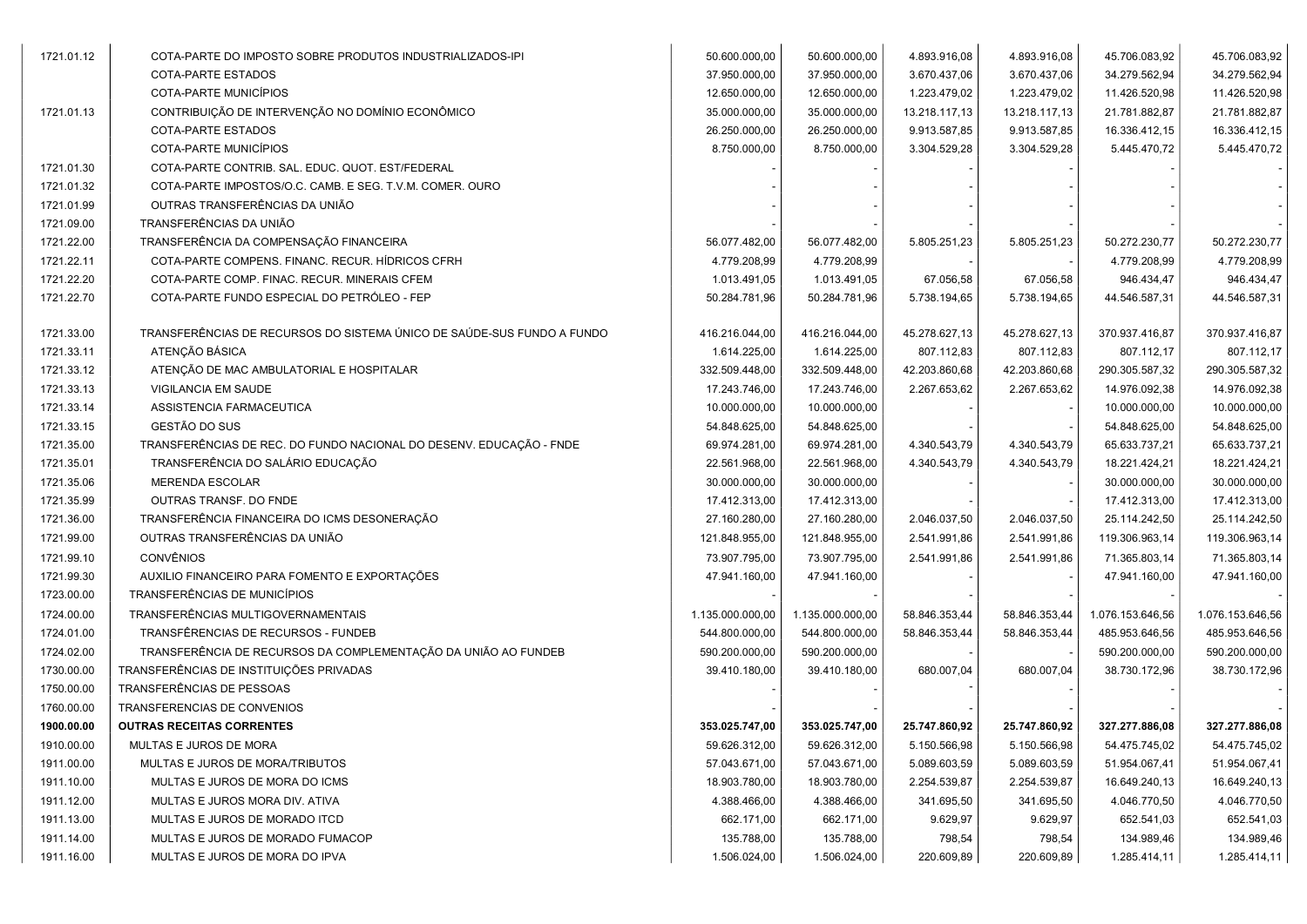| 1721.01.12 | COTA-PARTE DO IMPOSTO SOBRE PRODUTOS INDUSTRIALIZADOS-IPI              | 50.600.000,00    | 50.600.000,00    | 4.893.916,08  | 4.893.916,08  | 45.706.083,92    | 45.706.083,92    |
|------------|------------------------------------------------------------------------|------------------|------------------|---------------|---------------|------------------|------------------|
|            | COTA-PARTE ESTADOS                                                     | 37.950.000,00    | 37.950.000,00    | 3.670.437,06  | 3.670.437,06  | 34.279.562,94    | 34.279.562,94    |
|            | COTA-PARTE MUNICÍPIOS                                                  | 12.650.000,00    | 12.650.000,00    | 1.223.479,02  | 1.223.479,02  | 11.426.520,98    | 11.426.520,98    |
| 1721.01.13 | CONTRIBUIÇÃO DE INTERVENÇÃO NO DOMÍNIO ECONÔMICO                       | 35.000.000,00    | 35.000.000,00    | 13.218.117,13 | 13.218.117,13 | 21.781.882,87    | 21.781.882,87    |
|            | COTA-PARTE ESTADOS                                                     | 26.250.000,00    | 26.250.000,00    | 9.913.587,85  | 9.913.587,85  | 16.336.412,15    | 16.336.412,15    |
|            | COTA-PARTE MUNICÍPIOS                                                  | 8.750.000,00     | 8.750.000,00     | 3.304.529,28  | 3.304.529,28  | 5.445.470,72     | 5.445.470,72     |
| 1721.01.30 | COTA-PARTE CONTRIB. SAL. EDUC. QUOT. EST/FEDERAL                       |                  |                  |               |               |                  |                  |
| 1721.01.32 | COTA-PARTE IMPOSTOS/O.C. CAMB. E SEG. T.V.M. COMER. OURO               |                  |                  |               |               |                  |                  |
| 1721.01.99 | OUTRAS TRANSFERÊNCIAS DA UNIÃO                                         |                  |                  |               |               |                  |                  |
| 1721.09.00 | TRANSFERÊNCIAS DA UNIÃO                                                |                  |                  |               |               |                  |                  |
| 1721.22.00 | TRANSFERÊNCIA DA COMPENSAÇÃO FINANCEIRA                                | 56.077.482,00    | 56.077.482,00    | 5.805.251,23  | 5.805.251,23  | 50.272.230,77    | 50.272.230,77    |
| 1721.22.11 | COTA-PARTE COMPENS. FINANC. RECUR. HÍDRICOS CFRH                       | 4.779.208,99     | 4.779.208,99     |               |               | 4.779.208,99     | 4.779.208,99     |
| 1721.22.20 | COTA-PARTE COMP. FINAC. RECUR. MINERAIS CFEM                           | 1.013.491,05     | 1.013.491,05     | 67.056,58     | 67.056,58     | 946.434,47       | 946.434,47       |
| 1721.22.70 | COTA-PARTE FUNDO ESPECIAL DO PETRÓLEO - FEP                            | 50.284.781,96    | 50.284.781,96    | 5.738.194,65  | 5.738.194,65  | 44.546.587,31    | 44.546.587,31    |
|            |                                                                        |                  |                  |               |               |                  |                  |
| 1721.33.00 | TRANSFERÊNCIAS DE RECURSOS DO SISTEMA ÚNICO DE SAÚDE-SUS FUNDO A FUNDO | 416.216.044,00   | 416.216.044,00   | 45.278.627,13 | 45.278.627,13 | 370.937.416,87   | 370.937.416,87   |
| 1721.33.11 | ATENÇÃO BÁSICA                                                         | 1.614.225,00     | 1.614.225,00     | 807.112,83    | 807.112,83    | 807.112,17       | 807.112,17       |
| 1721.33.12 | ATENÇÃO DE MAC AMBULATORIAL E HOSPITALAR                               | 332.509.448,00   | 332.509.448,00   | 42.203.860,68 | 42.203.860,68 | 290.305.587,32   | 290.305.587,32   |
| 1721.33.13 | VIGILANCIA EM SAUDE                                                    | 17.243.746,00    | 17.243.746,00    | 2.267.653,62  | 2.267.653,62  | 14.976.092,38    | 14.976.092,38    |
| 1721.33.14 | ASSISTENCIA FARMACEUTICA                                               | 10.000.000,00    | 10.000.000,00    |               |               | 10.000.000,00    | 10.000.000,00    |
| 1721.33.15 | GESTÃO DO SUS                                                          | 54.848.625,00    | 54.848.625,00    |               |               | 54.848.625,00    | 54.848.625,00    |
| 1721.35.00 | TRANSFERÊNCIAS DE REC. DO FUNDO NACIONAL DO DESENV. EDUCAÇÃO - FNDE    | 69.974.281,00    | 69.974.281,00    | 4.340.543,79  | 4.340.543,79  | 65.633.737,21    | 65.633.737,21    |
| 1721.35.01 | TRANSFERÊNCIA DO SALÁRIO EDUCAÇÃO                                      | 22.561.968,00    | 22.561.968,00    | 4.340.543,79  | 4.340.543,79  | 18.221.424,21    | 18.221.424,21    |
| 1721.35.06 | <b>MERENDA ESCOLAR</b>                                                 | 30.000.000,00    | 30.000.000,00    |               |               | 30.000.000,00    | 30.000.000,00    |
| 1721.35.99 | OUTRAS TRANSF. DO FNDE                                                 | 17.412.313,00    | 17.412.313,00    |               |               | 17.412.313,00    | 17.412.313,00    |
| 1721.36.00 | TRANSFERÊNCIA FINANCEIRA DO ICMS DESONERAÇÃO                           | 27.160.280,00    | 27.160.280,00    | 2.046.037,50  | 2.046.037,50  | 25.114.242,50    | 25.114.242,50    |
| 1721.99.00 | OUTRAS TRANSFERÊNCIAS DA UNIÃO                                         | 121.848.955,00   | 121.848.955,00   | 2.541.991,86  | 2.541.991,86  | 119.306.963,14   | 119.306.963,14   |
| 1721.99.10 | <b>CONVÊNIOS</b>                                                       | 73.907.795,00    | 73.907.795,00    | 2.541.991,86  | 2.541.991,86  | 71.365.803,14    | 71.365.803,14    |
| 1721.99.30 | AUXILIO FINANCEIRO PARA FOMENTO E EXPORTAÇÕES                          | 47.941.160,00    | 47.941.160,00    |               |               | 47.941.160,00    | 47.941.160,00    |
| 1723.00.00 | TRANSFERÊNCIAS DE MUNICÍPIOS                                           |                  |                  |               |               |                  |                  |
| 1724.00.00 | TRANSFERÊNCIAS MULTIGOVERNAMENTAIS                                     | 1.135.000.000,00 | 1.135.000.000,00 | 58.846.353,44 | 58.846.353,44 | 1.076.153.646,56 | 1.076.153.646,56 |
| 1724.01.00 | TRANSFÊRENCIAS DE RECURSOS - FUNDEB                                    | 544.800.000,00   | 544.800.000,00   | 58.846.353,44 | 58.846.353,44 | 485.953.646,56   | 485.953.646,56   |
| 1724.02.00 | TRANSFERÊNCIA DE RECURSOS DA COMPLEMENTAÇÃO DA UNIÃO AO FUNDEB         | 590.200.000,00   | 590.200.000,00   |               |               | 590.200.000,00   | 590.200.000,00   |
| 1730.00.00 | TRANSFERÊNCIAS DE INSTITUIÇÕES PRIVADAS                                | 39.410.180,00    | 39.410.180,00    | 680.007.04    | 680.007,04    | 38.730.172,96    | 38.730.172,96    |
| 1750.00.00 | TRANSFERÊNCIAS DE PESSOAS                                              |                  |                  |               |               |                  |                  |
| 1760.00.00 | TRANSFERENCIAS DE CONVENIOS                                            |                  |                  |               |               |                  |                  |
| 1900.00.00 | <b>OUTRAS RECEITAS CORRENTES</b>                                       | 353.025.747,00   | 353.025.747,00   | 25.747.860,92 | 25.747.860,92 | 327.277.886,08   | 327.277.886,08   |
| 1910.00.00 | MULTAS E JUROS DE MORA                                                 | 59.626.312,00    | 59.626.312,00    | 5.150.566,98  | 5.150.566,98  | 54.475.745,02    | 54.475.745,02    |
| 1911.00.00 | MULTAS E JUROS DE MORA/TRIBUTOS                                        | 57.043.671,00    | 57.043.671,00    | 5.089.603,59  | 5.089.603,59  | 51.954.067,41    | 51.954.067,41    |
| 1911.10.00 | MULTAS E JUROS DE MORA DO ICMS                                         | 18.903.780,00    | 18.903.780,00    | 2.254.539,87  | 2.254.539,87  | 16.649.240,13    | 16.649.240,13    |
| 1911.12.00 | MULTAS E JUROS MORA DIV. ATIVA                                         | 4.388.466,00     | 4.388.466,00     | 341.695,50    | 341.695,50    | 4.046.770,50     | 4.046.770,50     |
| 1911.13.00 | MULTAS E JUROS DE MORADO ITCD                                          | 662.171,00       | 662.171,00       | 9.629,97      | 9.629,97      | 652.541,03       | 652.541,03       |
| 1911.14.00 | MULTAS E JUROS DE MORADO FUMACOP                                       | 135.788,00       | 135.788,00       | 798,54        | 798,54        | 134.989,46       | 134.989,46       |
| 1911.16.00 | MULTAS E JUROS DE MORA DO IPVA                                         | 1.506.024,00     | 1.506.024,00     | 220.609,89    | 220.609,89    | 1.285.414,11     | 1.285.414,11     |
|            |                                                                        |                  |                  |               |               |                  |                  |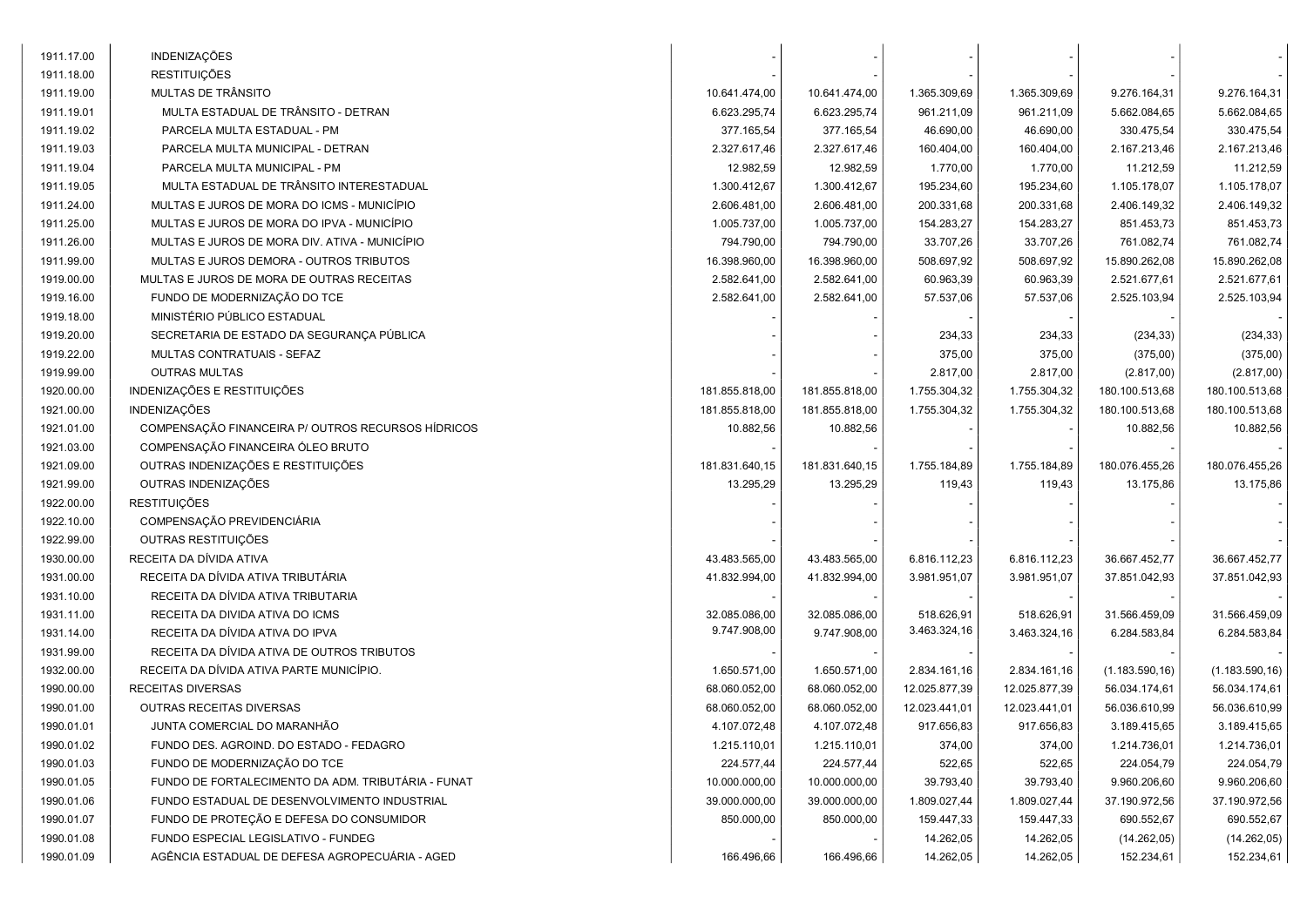| 1911.17.00 | INDENIZAÇÕES                                       |                |                |               |               |                 |                 |  |
|------------|----------------------------------------------------|----------------|----------------|---------------|---------------|-----------------|-----------------|--|
| 1911.18.00 | <b>RESTITUIÇÕES</b>                                |                |                |               |               |                 |                 |  |
| 1911.19.00 | MULTAS DE TRÂNSITO                                 | 10.641.474,00  | 10.641.474,00  | 1.365.309,69  | 1.365.309,69  | 9.276.164,31    | 9.276.164,31    |  |
| 1911.19.01 | MULTA ESTADUAL DE TRÂNSITO - DETRAN                | 6.623.295,74   | 6.623.295,74   | 961.211,09    | 961.211,09    | 5.662.084,65    | 5.662.084,65    |  |
| 1911.19.02 | PARCELA MULTA ESTADUAL - PM                        | 377.165,54     | 377.165,54     | 46.690,00     | 46.690,00     | 330.475,54      | 330.475,54      |  |
| 1911.19.03 | PARCELA MULTA MUNICIPAL - DETRAN                   | 2.327.617,46   | 2.327.617,46   | 160.404,00    | 160.404,00    | 2.167.213,46    | 2.167.213,46    |  |
| 1911.19.04 | PARCELA MULTA MUNICIPAL - PM                       | 12.982,59      | 12.982,59      | 1.770,00      | 1.770,00      | 11.212,59       | 11.212,59       |  |
| 1911.19.05 | MULTA ESTADUAL DE TRÂNSITO INTERESTADUAL           | 1.300.412,67   | 1.300.412,67   | 195.234,60    | 195.234,60    | 1.105.178,07    | 1.105.178,07    |  |
| 1911.24.00 | MULTAS E JUROS DE MORA DO ICMS - MUNICÍPIO         | 2.606.481,00   | 2.606.481,00   | 200.331,68    | 200.331,68    | 2.406.149,32    | 2.406.149,32    |  |
| 1911.25.00 | MULTAS E JUROS DE MORA DO IPVA - MUNICÍPIO         | 1.005.737,00   | 1.005.737,00   | 154.283,27    | 154.283,27    | 851.453,73      | 851.453,73      |  |
| 1911.26.00 | MULTAS E JUROS DE MORA DIV. ATIVA - MUNICÍPIO      | 794.790,00     | 794.790,00     | 33.707,26     | 33.707,26     | 761.082,74      | 761.082,74      |  |
| 1911.99.00 | MULTAS E JUROS DEMORA - OUTROS TRIBUTOS            | 16.398.960,00  | 16.398.960,00  | 508.697,92    | 508.697,92    | 15.890.262,08   | 15.890.262,08   |  |
| 1919.00.00 | MULTAS E JUROS DE MORA DE OUTRAS RECEITAS          | 2.582.641,00   | 2.582.641,00   | 60.963,39     | 60.963,39     | 2.521.677,61    | 2.521.677,61    |  |
| 1919.16.00 | FUNDO DE MODERNIZAÇÃO DO TCE                       | 2.582.641,00   | 2.582.641,00   | 57.537,06     | 57.537,06     | 2.525.103,94    | 2.525.103,94    |  |
| 1919.18.00 | MINISTÉRIO PÚBLICO ESTADUAL                        |                |                |               |               |                 |                 |  |
| 1919.20.00 | SECRETARIA DE ESTADO DA SEGURANÇA PÚBLICA          |                |                | 234,33        | 234,33        | (234, 33)       | (234, 33)       |  |
| 1919.22.00 | MULTAS CONTRATUAIS - SEFAZ                         |                |                | 375,00        | 375,00        | (375,00)        | (375,00)        |  |
| 1919.99.00 | <b>OUTRAS MULTAS</b>                               |                |                | 2.817,00      | 2.817,00      | (2.817,00)      | (2.817,00)      |  |
| 1920.00.00 | INDENIZAÇÕES E RESTITUIÇÕES                        | 181.855.818,00 | 181.855.818,00 | 1.755.304,32  | 1.755.304,32  | 180.100.513,68  | 180.100.513,68  |  |
| 1921.00.00 | <b>INDENIZAÇÕES</b>                                | 181.855.818,00 | 181.855.818,00 | 1.755.304,32  | 1.755.304,32  | 180.100.513,68  | 180.100.513,68  |  |
| 1921.01.00 | COMPENSAÇÃO FINANCEIRA P/ OUTROS RECURSOS HÍDRICOS | 10.882,56      | 10.882,56      |               |               | 10.882,56       | 10.882,56       |  |
| 1921.03.00 | COMPENSAÇÃO FINANCEIRA ÓLEO BRUTO                  |                |                |               |               |                 |                 |  |
| 1921.09.00 | OUTRAS INDENIZAÇÕES E RESTITUIÇÕES                 | 181.831.640,15 | 181.831.640,15 | 1.755.184,89  | 1.755.184,89  | 180.076.455,26  | 180.076.455,26  |  |
| 1921.99.00 | OUTRAS INDENIZAÇÕES                                | 13.295,29      | 13.295,29      | 119,43        | 119,43        | 13.175,86       | 13.175,86       |  |
| 1922.00.00 | <b>RESTITUIÇÕES</b>                                |                |                |               |               |                 |                 |  |
| 1922.10.00 | COMPENSAÇÃO PREVIDENCIÁRIA                         |                |                |               |               |                 |                 |  |
| 1922.99.00 | OUTRAS RESTITUIÇÕES                                |                |                |               |               |                 |                 |  |
| 1930.00.00 | RECEITA DA DÍVIDA ATIVA                            | 43.483.565,00  | 43.483.565,00  | 6.816.112,23  | 6.816.112,23  | 36.667.452,77   | 36.667.452,77   |  |
| 1931.00.00 | RECEITA DA DÍVIDA ATIVA TRIBUTÁRIA                 | 41.832.994,00  | 41.832.994,00  | 3.981.951,07  | 3.981.951,07  | 37.851.042,93   | 37.851.042,93   |  |
| 1931.10.00 | RECEITA DA DÍVIDA ATIVA TRIBUTARIA                 |                |                |               |               |                 |                 |  |
| 1931.11.00 | RECEITA DA DIVIDA ATIVA DO ICMS                    | 32.085.086,00  | 32.085.086,00  | 518.626,91    | 518.626,91    | 31.566.459,09   | 31.566.459,09   |  |
| 1931.14.00 | RECEITA DA DÍVIDA ATIVA DO IPVA                    | 9.747.908,00   | 9.747.908,00   | 3.463.324,16  | 3.463.324,16  | 6.284.583,84    | 6.284.583,84    |  |
| 1931.99.00 | RECEITA DA DÍVIDA ATIVA DE OUTROS TRIBUTOS         |                |                |               |               |                 |                 |  |
| 1932.00.00 | RECEITA DA DÍVIDA ATIVA PARTE MUNICÍPIO.           | 1.650.571,00   | 1.650.571,00   | 2.834.161,16  | 2.834.161,16  | (1.183.590, 16) | (1.183.590, 16) |  |
| 1990.00.00 | <b>RECEITAS DIVERSAS</b>                           | 68.060.052,00  | 68.060.052,00  | 12.025.877,39 | 12.025.877,39 | 56.034.174,61   | 56.034.174,61   |  |
| 1990.01.00 | OUTRAS RECEITAS DIVERSAS                           | 68.060.052,00  | 68.060.052,00  | 12.023.441,01 | 12.023.441,01 | 56.036.610,99   | 56.036.610,99   |  |
| 1990.01.01 | JUNTA COMERCIAL DO MARANHÃO                        | 4.107.072,48   | 4.107.072,48   | 917.656,83    | 917.656,83    | 3.189.415,65    | 3.189.415,65    |  |
| 1990.01.02 | FUNDO DES. AGROIND. DO ESTADO - FEDAGRO            | 1.215.110,01   | 1.215.110,01   | 374,00        | 374,00        | 1.214.736,01    | 1.214.736,01    |  |
| 1990.01.03 | FUNDO DE MODERNIZAÇÃO DO TCE                       | 224.577,44     | 224.577,44     | 522,65        | 522,65        | 224.054,79      | 224.054,79      |  |
| 1990.01.05 | FUNDO DE FORTALECIMENTO DA ADM. TRIBUTÁRIA - FUNAT | 10.000.000,00  | 10.000.000,00  | 39.793,40     | 39.793,40     | 9.960.206,60    | 9.960.206,60    |  |
| 1990.01.06 | FUNDO ESTADUAL DE DESENVOLVIMENTO INDUSTRIAL       | 39.000.000,00  | 39.000.000,00  | 1.809.027,44  | 1.809.027,44  | 37.190.972,56   | 37.190.972,56   |  |
| 1990.01.07 | FUNDO DE PROTEÇÃO E DEFESA DO CONSUMIDOR           | 850.000,00     | 850.000,00     | 159.447,33    | 159.447,33    | 690.552,67      | 690.552,67      |  |
| 1990.01.08 | FUNDO ESPECIAL LEGISLATIVO - FUNDEG                |                |                | 14.262,05     | 14.262,05     | (14.262, 05)    | (14.262,05)     |  |
| 1990.01.09 | AGÊNCIA ESTADUAL DE DEFESA AGROPECUÁRIA - AGED     | 166.496,66     | 166.496,66     | 14.262,05     | 14.262,05     | 152.234,61      | 152.234,61      |  |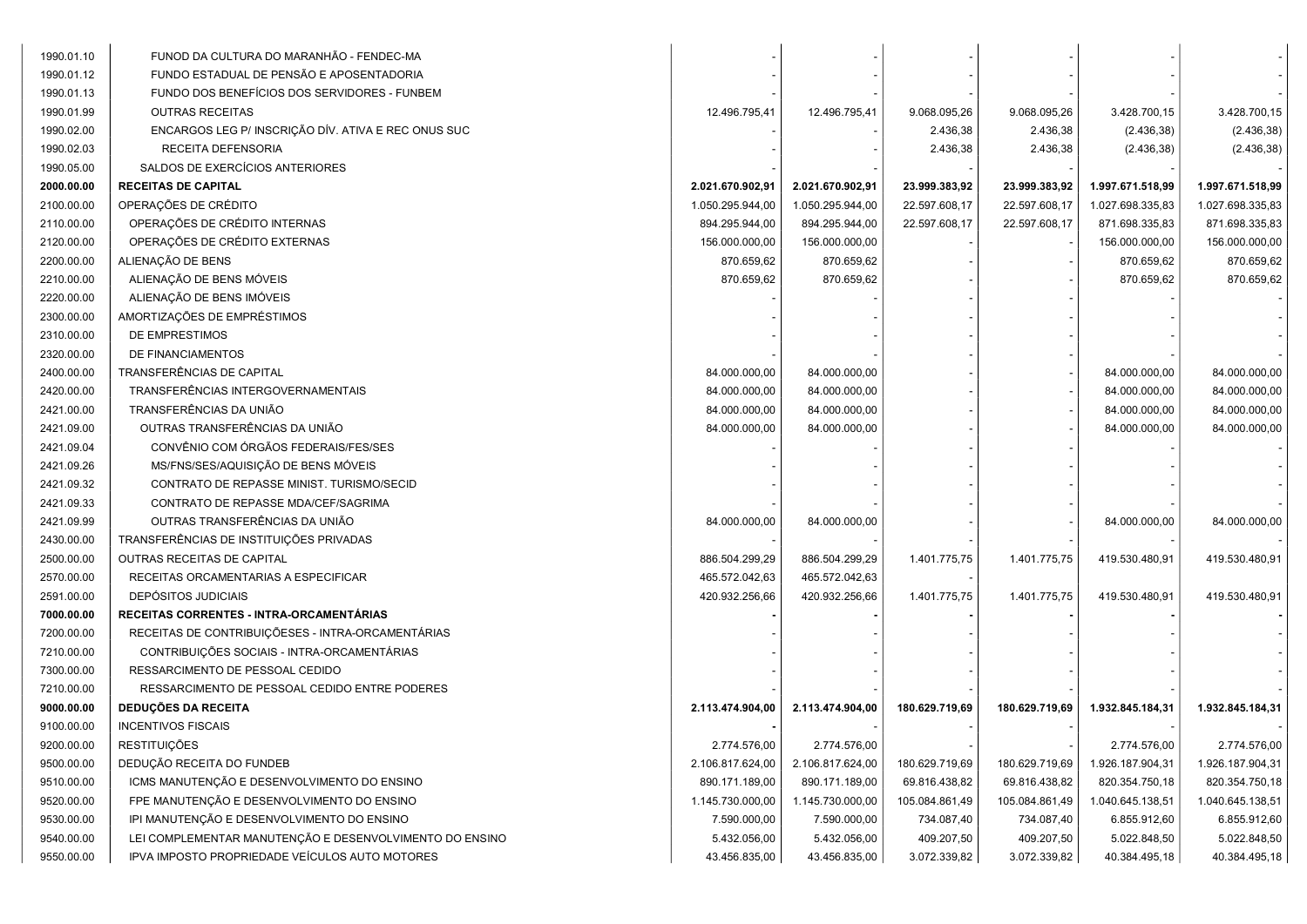| 1990.01.10 | FUNOD DA CULTURA DO MARANHÃO - FENDEC-MA                |                  |                  |                |                |                  |                  |
|------------|---------------------------------------------------------|------------------|------------------|----------------|----------------|------------------|------------------|
| 1990.01.12 | FUNDO ESTADUAL DE PENSÃO E APOSENTADORIA                |                  |                  |                |                |                  |                  |
| 1990.01.13 | FUNDO DOS BENEFÍCIOS DOS SERVIDORES - FUNBEM            |                  |                  |                |                |                  |                  |
| 1990.01.99 | <b>OUTRAS RECEITAS</b>                                  | 12.496.795,41    | 12.496.795,41    | 9.068.095,26   | 9.068.095,26   | 3.428.700,15     | 3.428.700,15     |
| 1990.02.00 | ENCARGOS LEG P/ INSCRIÇÃO DÍV. ATIVA E REC ONUS SUC     |                  |                  | 2.436,38       | 2.436,38       | (2.436, 38)      | (2.436, 38)      |
| 1990.02.03 | RECEITA DEFENSORIA                                      |                  |                  | 2.436,38       | 2.436,38       | (2.436, 38)      | (2.436, 38)      |
| 1990.05.00 | SALDOS DE EXERCÍCIOS ANTERIORES                         |                  |                  |                |                |                  |                  |
| 2000.00.00 | <b>RECEITAS DE CAPITAL</b>                              | 2.021.670.902,91 | 2.021.670.902,91 | 23.999.383,92  | 23.999.383,92  | 1.997.671.518,99 | 1.997.671.518,99 |
| 2100.00.00 | OPERAÇÕES DE CRÉDITO                                    | 1.050.295.944,00 | 1.050.295.944,00 | 22.597.608,17  | 22.597.608,17  | 1.027.698.335,83 | 1.027.698.335,83 |
| 2110.00.00 | OPERAÇÕES DE CRÉDITO INTERNAS                           | 894.295.944,00   | 894.295.944,00   | 22.597.608,17  | 22.597.608,17  | 871.698.335,83   | 871.698.335,83   |
| 2120.00.00 | OPERAÇÕES DE CRÉDITO EXTERNAS                           | 156.000.000,00   | 156.000.000,00   |                |                | 156.000.000,00   | 156.000.000,00   |
| 2200.00.00 | ALIENAÇÃO DE BENS                                       | 870.659,62       | 870.659,62       |                |                | 870.659,62       | 870.659,62       |
| 2210.00.00 | ALIENAÇÃO DE BENS MÓVEIS                                | 870.659,62       | 870.659,62       |                |                | 870.659,62       | 870.659,62       |
| 2220.00.00 | ALIENAÇÃO DE BENS IMÓVEIS                               |                  |                  |                |                |                  |                  |
| 2300.00.00 | AMORTIZAÇÕES DE EMPRÉSTIMOS                             |                  |                  |                |                |                  |                  |
| 2310.00.00 | DE EMPRESTIMOS                                          |                  |                  |                |                |                  |                  |
| 2320.00.00 | DE FINANCIAMENTOS                                       |                  |                  |                |                |                  |                  |
| 2400.00.00 | TRANSFERÊNCIAS DE CAPITAL                               | 84.000.000,00    | 84.000.000,00    |                |                | 84.000.000,00    | 84.000.000,00    |
| 2420.00.00 | TRANSFERÊNCIAS INTERGOVERNAMENTAIS                      | 84.000.000,00    | 84.000.000,00    |                |                | 84.000.000,00    | 84.000.000,00    |
| 2421.00.00 | TRANSFERÊNCIAS DA UNIÃO                                 | 84.000.000,00    | 84.000.000,00    |                |                | 84.000.000,00    | 84.000.000,00    |
| 2421.09.00 | OUTRAS TRANSFERÊNCIAS DA UNIÃO                          | 84.000.000,00    | 84.000.000,00    |                |                | 84.000.000,00    | 84.000.000,00    |
| 2421.09.04 | CONVÊNIO COM ÓRGÃOS FEDERAIS/FES/SES                    |                  |                  |                |                |                  |                  |
| 2421.09.26 | MS/FNS/SES/AQUISIÇÃO DE BENS MÓVEIS                     |                  |                  |                |                |                  |                  |
| 2421.09.32 | CONTRATO DE REPASSE MINIST. TURISMO/SECID               |                  |                  |                |                |                  |                  |
| 2421.09.33 | CONTRATO DE REPASSE MDA/CEF/SAGRIMA                     |                  |                  |                |                |                  |                  |
| 2421.09.99 | OUTRAS TRANSFERÊNCIAS DA UNIÃO                          | 84.000.000,00    | 84.000.000,00    |                |                | 84.000.000,00    | 84.000.000,00    |
| 2430.00.00 | TRANSFERÊNCIAS DE INSTITUIÇÕES PRIVADAS                 |                  |                  |                |                |                  |                  |
| 2500.00.00 | OUTRAS RECEITAS DE CAPITAL                              | 886.504.299,29   | 886.504.299,29   | 1.401.775,75   | 1.401.775,75   | 419.530.480,91   | 419.530.480,91   |
| 2570.00.00 | RECEITAS ORCAMENTARIAS A ESPECIFICAR                    | 465.572.042,63   | 465.572.042,63   |                |                |                  |                  |
| 2591.00.00 | <b>DEPÓSITOS JUDICIAIS</b>                              | 420.932.256,66   | 420.932.256,66   | 1.401.775,75   | 1.401.775,75   | 419.530.480,91   | 419.530.480,91   |
| 7000.00.00 | RECEITAS CORRENTES - INTRA-ORCAMENTÁRIAS                |                  |                  |                |                |                  |                  |
| 7200.00.00 | RECEITAS DE CONTRIBUIÇÕESES - INTRA-ORCAMENTÁRIAS       |                  |                  |                |                |                  |                  |
| 7210.00.00 | CONTRIBUIÇÕES SOCIAIS - INTRA-ORCAMENTÁRIAS             |                  |                  |                |                |                  |                  |
| 7300.00.00 | RESSARCIMENTO DE PESSOAL CEDIDO                         |                  |                  |                |                |                  |                  |
| 7210.00.00 | RESSARCIMENTO DE PESSOAL CEDIDO ENTRE PODERES           |                  |                  |                |                |                  |                  |
| 9000.00.00 | <b>DEDUÇÕES DA RECEITA</b>                              | 2.113.474.904,00 | 2.113.474.904,00 | 180.629.719,69 | 180.629.719,69 | 1.932.845.184,31 | 1.932.845.184,31 |
| 9100.00.00 | <b>INCENTIVOS FISCAIS</b>                               |                  |                  |                |                |                  |                  |
| 9200.00.00 | <b>RESTITUIÇÕES</b>                                     | 2.774.576,00     | 2.774.576,00     |                |                | 2.774.576,00     | 2.774.576,00     |
| 9500.00.00 | DEDUÇÃO RECEITA DO FUNDEB                               | 2.106.817.624,00 | 2.106.817.624,00 | 180.629.719,69 | 180.629.719,69 | 1.926.187.904,31 | 1.926.187.904,31 |
| 9510.00.00 | ICMS MANUTENÇÃO E DESENVOLVIMENTO DO ENSINO             | 890.171.189,00   | 890.171.189,00   | 69.816.438,82  | 69.816.438,82  | 820.354.750,18   | 820.354.750,18   |
| 9520.00.00 | FPE MANUTENÇÃO E DESENVOLVIMENTO DO ENSINO              | 1.145.730.000,00 | 1.145.730.000,00 | 105.084.861,49 | 105.084.861,49 | 1.040.645.138,51 | 1.040.645.138,51 |
| 9530.00.00 | IPI MANUTENÇÃO E DESENVOLVIMENTO DO ENSINO              | 7.590.000,00     | 7.590.000,00     | 734.087,40     | 734.087,40     | 6.855.912,60     | 6.855.912,60     |
| 9540.00.00 | LEI COMPLEMENTAR MANUTENÇÃO E DESENVOLVIMENTO DO ENSINO | 5.432.056,00     | 5.432.056,00     | 409.207,50     | 409.207,50     | 5.022.848,50     | 5.022.848,50     |
| 9550.00.00 | IPVA IMPOSTO PROPRIEDADE VEÍCULOS AUTO MOTORES          | 43.456.835,00    | 43.456.835,00    | 3.072.339,82   | 3.072.339,82   | 40.384.495,18    | 40.384.495,18    |